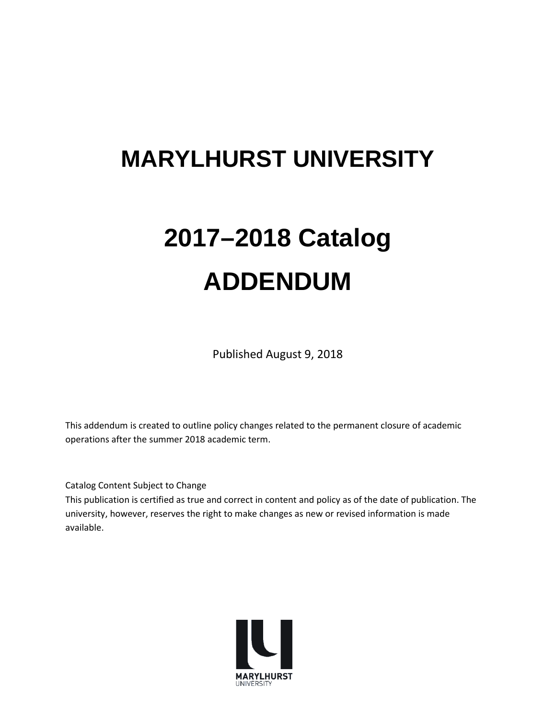## **MARYLHURST UNIVERSITY**

# **2017–2018 Catalog ADDENDUM**

Published August 9, 2018

This addendum is created to outline policy changes related to the permanent closure of academic operations after the summer 2018 academic term.

Catalog Content Subject to Change

This publication is certified as true and correct in content and policy as of the date of publication. The university, however, reserves the right to make changes as new or revised information is made available.

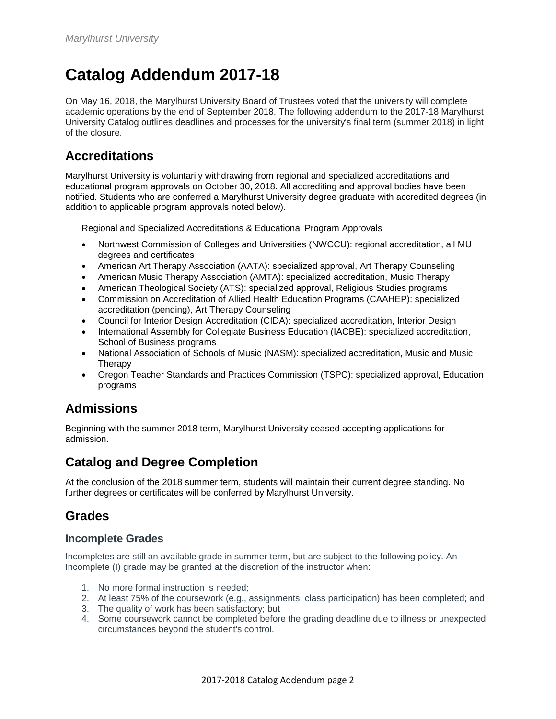## **Catalog Addendum 2017-18**

On May 16, 2018, the Marylhurst University Board of Trustees voted that the university will complete academic operations by the end of September 2018. The following addendum to the 2017-18 Marylhurst University Catalog outlines deadlines and processes for the university's final term (summer 2018) in light of the closure.

## **Accreditations**

Marylhurst University is voluntarily withdrawing from regional and specialized accreditations and educational program approvals on October 30, 2018. All accrediting and approval bodies have been notified. Students who are conferred a Marylhurst University degree graduate with accredited degrees (in addition to applicable program approvals noted below).

Regional and Specialized Accreditations & Educational Program Approvals

- Northwest Commission of Colleges and Universities (NWCCU): regional accreditation, all MU degrees and certificates
- American Art Therapy Association (AATA): specialized approval, Art Therapy Counseling
- American Music Therapy Association (AMTA): specialized accreditation, Music Therapy
- American Theological Society (ATS): specialized approval, Religious Studies programs
- Commission on Accreditation of Allied Health Education Programs (CAAHEP): specialized accreditation (pending), Art Therapy Counseling
- Council for Interior Design Accreditation (CIDA): specialized accreditation, Interior Design
- International Assembly for Collegiate Business Education (IACBE): specialized accreditation, School of Business programs
- National Association of Schools of Music (NASM): specialized accreditation, Music and Music Therapy
- Oregon Teacher Standards and Practices Commission (TSPC): specialized approval, Education programs

## **Admissions**

Beginning with the summer 2018 term, Marylhurst University ceased accepting applications for admission.

## **Catalog and Degree Completion**

At the conclusion of the 2018 summer term, students will maintain their current degree standing. No further degrees or certificates will be conferred by Marylhurst University.

## **Grades**

#### **Incomplete Grades**

Incompletes are still an available grade in summer term, but are subject to the following policy. An Incomplete (I) grade may be granted at the discretion of the instructor when:

- 1. No more formal instruction is needed;
- 2. At least 75% of the coursework (e.g., assignments, class participation) has been completed; and
- 3. The quality of work has been satisfactory; but
- 4. Some coursework cannot be completed before the grading deadline due to illness or unexpected circumstances beyond the student's control.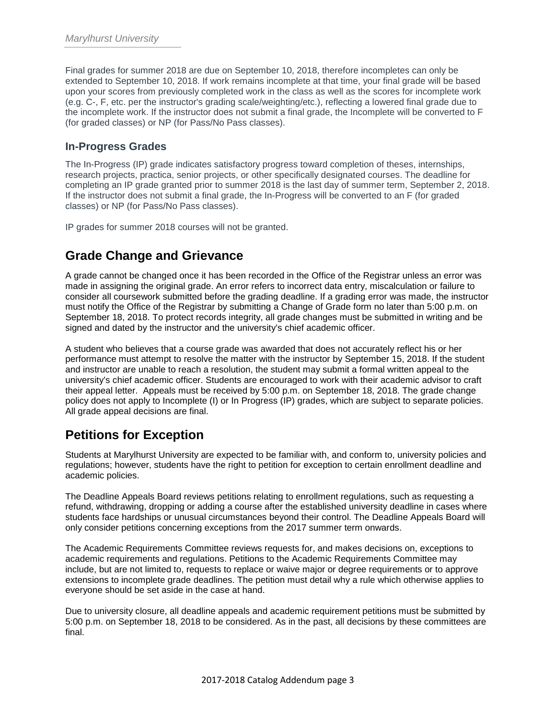Final grades for summer 2018 are due on September 10, 2018, therefore incompletes can only be extended to September 10, 2018. If work remains incomplete at that time, your final grade will be based upon your scores from previously completed work in the class as well as the scores for incomplete work (e.g. C-, F, etc. per the instructor's grading scale/weighting/etc.), reflecting a lowered final grade due to the incomplete work. If the instructor does not submit a final grade, the Incomplete will be converted to F (for graded classes) or NP (for Pass/No Pass classes).

#### **In-Progress Grades**

The In-Progress (IP) grade indicates satisfactory progress toward completion of theses, internships, research projects, practica, senior projects, or other specifically designated courses. The deadline for completing an IP grade granted prior to summer 2018 is the last day of summer term, September 2, 2018. If the instructor does not submit a final grade, the In-Progress will be converted to an F (for graded classes) or NP (for Pass/No Pass classes).

IP grades for summer 2018 courses will not be granted.

## **Grade Change and Grievance**

A grade cannot be changed once it has been recorded in the Office of the Registrar unless an error was made in assigning the original grade. An error refers to incorrect data entry, miscalculation or failure to consider all coursework submitted before the grading deadline. If a grading error was made, the instructor must notify the Office of the Registrar by submitting a Change of Grade form no later than 5:00 p.m. on September 18, 2018. To protect records integrity, all grade changes must be submitted in writing and be signed and dated by the instructor and the university's chief academic officer.

A student who believes that a course grade was awarded that does not accurately reflect his or her performance must attempt to resolve the matter with the instructor by September 15, 2018. If the student and instructor are unable to reach a resolution, the student may submit a formal written appeal to the university's chief academic officer. Students are encouraged to work with their academic advisor to craft their appeal letter. Appeals must be received by 5:00 p.m. on September 18, 2018. The grade change policy does not apply to Incomplete (I) or In Progress (IP) grades, which are subject to separate policies. All grade appeal decisions are final.

## **Petitions for Exception**

Students at Marylhurst University are expected to be familiar with, and conform to, university policies and regulations; however, students have the right to petition for exception to certain enrollment deadline and academic policies.

The Deadline Appeals Board reviews petitions relating to enrollment regulations, such as requesting a refund, withdrawing, dropping or adding a course after the established university deadline in cases where students face hardships or unusual circumstances beyond their control. The Deadline Appeals Board will only consider petitions concerning exceptions from the 2017 summer term onwards.

The Academic Requirements Committee reviews requests for, and makes decisions on, exceptions to academic requirements and regulations. Petitions to the Academic Requirements Committee may include, but are not limited to, requests to replace or waive major or degree requirements or to approve extensions to incomplete grade deadlines. The petition must detail why a rule which otherwise applies to everyone should be set aside in the case at hand.

Due to university closure, all deadline appeals and academic requirement petitions must be submitted by 5:00 p.m. on September 18, 2018 to be considered. As in the past, all decisions by these committees are final.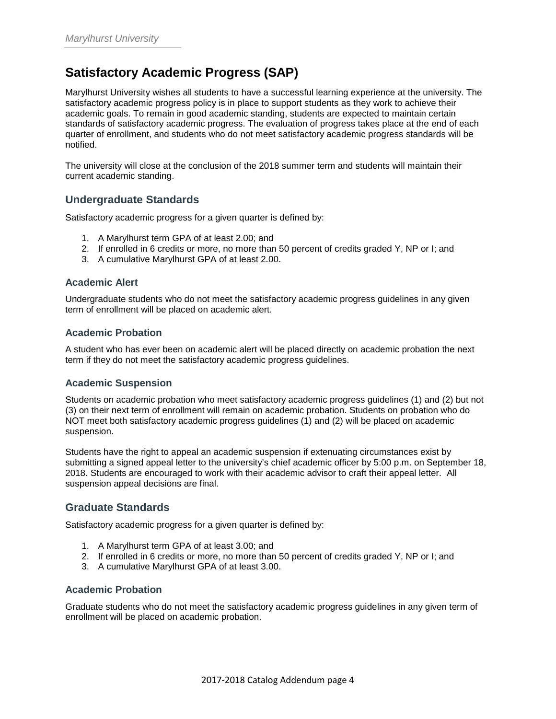## **Satisfactory Academic Progress (SAP)**

Marylhurst University wishes all students to have a successful learning experience at the university. The satisfactory academic progress policy is in place to support students as they work to achieve their academic goals. To remain in good academic standing, students are expected to maintain certain standards of satisfactory academic progress. The evaluation of progress takes place at the end of each quarter of enrollment, and students who do not meet satisfactory academic progress standards will be notified.

The university will close at the conclusion of the 2018 summer term and students will maintain their current academic standing.

#### **Undergraduate Standards**

Satisfactory academic progress for a given quarter is defined by:

- 1. A Marylhurst term GPA of at least 2.00; and
- 2. If enrolled in 6 credits or more, no more than 50 percent of credits graded Y, NP or I; and
- 3. A cumulative Marylhurst GPA of at least 2.00.

#### **Academic Alert**

Undergraduate students who do not meet the satisfactory academic progress guidelines in any given term of enrollment will be placed on academic alert.

#### **Academic Probation**

A student who has ever been on academic alert will be placed directly on academic probation the next term if they do not meet the satisfactory academic progress guidelines.

#### **Academic Suspension**

Students on academic probation who meet satisfactory academic progress guidelines (1) and (2) but not (3) on their next term of enrollment will remain on academic probation. Students on probation who do NOT meet both satisfactory academic progress guidelines (1) and (2) will be placed on academic suspension.

Students have the right to appeal an academic suspension if extenuating circumstances exist by submitting a signed appeal letter to the university's chief academic officer by 5:00 p.m. on September 18, 2018. Students are encouraged to work with their academic advisor to craft their appeal letter. All suspension appeal decisions are final.

#### **Graduate Standards**

Satisfactory academic progress for a given quarter is defined by:

- 1. A Marylhurst term GPA of at least 3.00; and
- 2. If enrolled in 6 credits or more, no more than 50 percent of credits graded Y, NP or I; and
- 3. A cumulative Marylhurst GPA of at least 3.00.

#### **Academic Probation**

Graduate students who do not meet the satisfactory academic progress guidelines in any given term of enrollment will be placed on academic probation.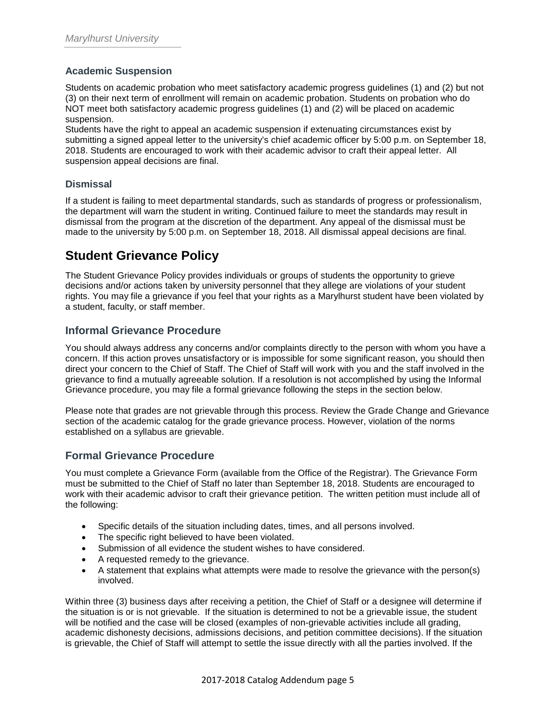#### **Academic Suspension**

Students on academic probation who meet satisfactory academic progress guidelines (1) and (2) but not (3) on their next term of enrollment will remain on academic probation. Students on probation who do NOT meet both satisfactory academic progress guidelines (1) and (2) will be placed on academic suspension.

Students have the right to appeal an academic suspension if extenuating circumstances exist by submitting a signed appeal letter to the university's chief academic officer by 5:00 p.m. on September 18, 2018. Students are encouraged to work with their academic advisor to craft their appeal letter. All suspension appeal decisions are final.

#### **Dismissal**

If a student is failing to meet departmental standards, such as standards of progress or professionalism, the department will warn the student in writing. Continued failure to meet the standards may result in dismissal from the program at the discretion of the department. Any appeal of the dismissal must be made to the university by 5:00 p.m. on September 18, 2018. All dismissal appeal decisions are final.

### **Student Grievance Policy**

The Student Grievance Policy provides individuals or groups of students the opportunity to grieve decisions and/or actions taken by university personnel that they allege are violations of your student rights. You may file a grievance if you feel that your rights as a Marylhurst student have been violated by a student, faculty, or staff member.

#### **Informal Grievance Procedure**

You should always address any concerns and/or complaints directly to the person with whom you have a concern. If this action proves unsatisfactory or is impossible for some significant reason, you should then direct your concern to the Chief of Staff. The Chief of Staff will work with you and the staff involved in the grievance to find a mutually agreeable solution. If a resolution is not accomplished by using the Informal Grievance procedure, you may file a formal grievance following the steps in the section below.

Please note that grades are not grievable through this process. Review the Grade Change and Grievance section of the academic catalog for the grade grievance process. However, violation of the norms established on a syllabus are grievable.

#### **Formal Grievance Procedure**

You must complete a Grievance Form (available from the Office of the Registrar). The Grievance Form must be submitted to the Chief of Staff no later than September 18, 2018. Students are encouraged to work with their academic advisor to craft their grievance petition. The written petition must include all of the following:

- Specific details of the situation including dates, times, and all persons involved.
- The specific right believed to have been violated.
- Submission of all evidence the student wishes to have considered.
- A requested remedy to the grievance.
- A statement that explains what attempts were made to resolve the grievance with the person(s) involved.

Within three (3) business days after receiving a petition, the Chief of Staff or a designee will determine if the situation is or is not grievable. If the situation is determined to not be a grievable issue, the student will be notified and the case will be closed (examples of non-grievable activities include all grading, academic dishonesty decisions, admissions decisions, and petition committee decisions). If the situation is grievable, the Chief of Staff will attempt to settle the issue directly with all the parties involved. If the